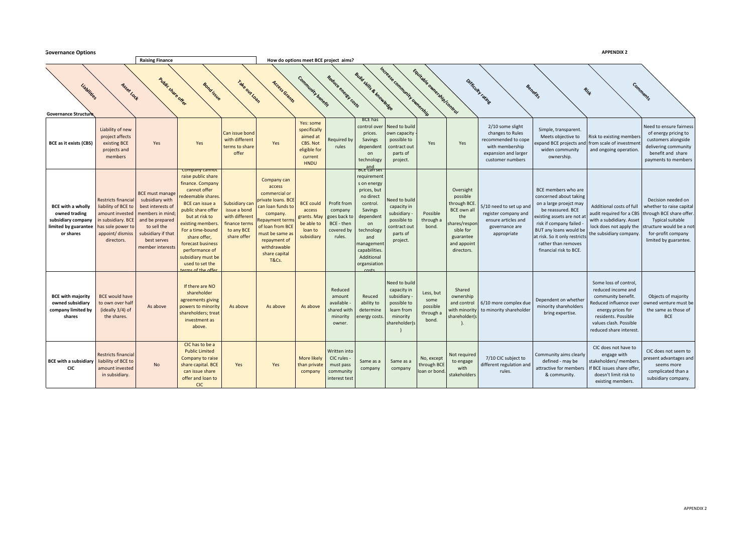| <b>APPENDIX 2</b><br><b>Governance Options</b>                                                       |             |                                                                                                                                                  |                                                                                                                                                                               |                                                                                                                                                                                                                                                                                                                             |                                                                                                |                                                                                                                                                                                                                              |                                                                                             |                                                                              |                                                                                                                                                                                               |                                                                                                          |                                                     |                                                                                                                                         |                                                                                                                            |                                                                                                                                                                                                                                                                |                                                                                                                                                                                             |                                                                                                                                                                                 |
|------------------------------------------------------------------------------------------------------|-------------|--------------------------------------------------------------------------------------------------------------------------------------------------|-------------------------------------------------------------------------------------------------------------------------------------------------------------------------------|-----------------------------------------------------------------------------------------------------------------------------------------------------------------------------------------------------------------------------------------------------------------------------------------------------------------------------|------------------------------------------------------------------------------------------------|------------------------------------------------------------------------------------------------------------------------------------------------------------------------------------------------------------------------------|---------------------------------------------------------------------------------------------|------------------------------------------------------------------------------|-----------------------------------------------------------------------------------------------------------------------------------------------------------------------------------------------|----------------------------------------------------------------------------------------------------------|-----------------------------------------------------|-----------------------------------------------------------------------------------------------------------------------------------------|----------------------------------------------------------------------------------------------------------------------------|----------------------------------------------------------------------------------------------------------------------------------------------------------------------------------------------------------------------------------------------------------------|---------------------------------------------------------------------------------------------------------------------------------------------------------------------------------------------|---------------------------------------------------------------------------------------------------------------------------------------------------------------------------------|
| <b>Raising Finance</b>                                                                               |             |                                                                                                                                                  |                                                                                                                                                                               |                                                                                                                                                                                                                                                                                                                             | How do options meet BCE project aims?                                                          |                                                                                                                                                                                                                              |                                                                                             |                                                                              |                                                                                                                                                                                               |                                                                                                          |                                                     |                                                                                                                                         |                                                                                                                            |                                                                                                                                                                                                                                                                |                                                                                                                                                                                             |                                                                                                                                                                                 |
| <b>Governance Structure</b>                                                                          | Liabilities | Asset Lock                                                                                                                                       | <b>Public share offer</b>                                                                                                                                                     | <b>Bond issue</b>                                                                                                                                                                                                                                                                                                           | TakeoutLoan                                                                                    | Access Grants                                                                                                                                                                                                                | Community benefit                                                                           | Reduce energy Costs                                                          | <b>Build Skills &amp; Richardse</b>                                                                                                                                                           | Increase Community Ownership                                                                             | Equipment of the change of the Control              |                                                                                                                                         | Difficulty rating                                                                                                          | Benefits                                                                                                                                                                                                                                                       | Rist                                                                                                                                                                                        | Comments                                                                                                                                                                        |
| <b>BCE</b> as it exists (CBS)                                                                        |             | Liability of new<br>project affects<br>existing BCE<br>projects and<br>members                                                                   | Yes                                                                                                                                                                           | Yes                                                                                                                                                                                                                                                                                                                         | Can issue bond<br>with different<br>terms to share<br>offer                                    | Yes                                                                                                                                                                                                                          | Yes: some<br>specifically<br>aimed at<br>CBS. Not<br>eligible for<br>current<br><b>HNDU</b> | Required by<br>rules                                                         | <b>BCE has</b><br>control over<br>prices.<br>Savings<br>dependent<br>on<br>technology<br><b>BCE</b> can set                                                                                   | <b>Seed to build</b><br>own capacity<br>possible to<br>contract out<br>parts of<br>project.              | Yes                                                 | Yes                                                                                                                                     | 2/10 some slight<br>changes to Rules<br>recommended to cope<br>with membership<br>expansion and larger<br>customer numbers | Simple, transparent.<br>Meets objective to<br>expand BCE projects and<br>widen community<br>ownership.                                                                                                                                                         | Risk to existing members<br>from scale of investment<br>and ongoing operation.                                                                                                              | Need to ensure fairness<br>of energy pricing to<br>customers alongside<br>delivering community<br>benefit and share<br>payments to members                                      |
| <b>BCE with a wholly</b><br>owned trading<br>subsidiary company<br>limited by guarantee<br>or shares |             | <b>Restricts financial</b><br>liability of BCE to<br>amount invested<br>in subsidiary. BCE<br>as sole power to<br>appoint/ dismiss<br>directors. | <b>BCE must manage</b><br>subsidiary with<br>best interests of<br>members in mind;<br>and be prepared<br>to sell the<br>subsidiary if that<br>best serves<br>member interests | <b>Company cannot</b><br>raise public share<br>finance. Company<br>cannot offer<br>edeemable shares<br>BCE can issue a<br>public share offer<br>but at risk to<br>existing members.<br>For a time-bound<br>share offer,<br>forecast business<br>performance of<br>subsidiary must be<br>used to set the<br>arms of the offe | Subsidiary car<br>issue a bond<br>with different<br>finance terms<br>to any BCE<br>share offer | Company can<br>access<br>commercial or<br>private loans. BCE<br>can loan funds to<br>company.<br>Repayment terms<br>of loan from BCE<br>must be same as<br>repayment of<br>withdrawable<br>share capital<br><b>T&amp;Cs.</b> | <b>BCE could</b><br>access<br>grants. May<br>be able to<br>loan to<br>subsidiary            | Profit from<br>company<br>goes back to<br>BCE - then<br>covered by<br>rules. | requirement<br>s on energy<br>prices, but<br>no direct<br>control.<br>Savings<br>dependent<br>on<br>technology<br>and<br>managemen<br>capabilities.<br>Additional<br>organsiation<br>$c$ octc | <b>Seed to build</b><br>capacity in<br>subsidiary<br>possible to<br>contract out<br>parts of<br>project. | Possible<br>through a<br>bond.                      | Oversight<br>possible<br>through BCE<br><b>BCE</b> own al<br>the<br>hares/respon<br>sible for<br>guarantee<br>and appoint<br>directors. | 5/10 need to set up and<br>register company and<br>ensure articles and<br>governance are<br>appropriate                    | BCE members who are<br>concerned about taking<br>on a large proejct may<br>be reassured. BCE<br>existing assets are not a<br>risk if company failed<br>BUT any loans would be<br>at risk. So it only restrict<br>rather than removes<br>financial risk to BCE. | Additional costs of full<br>audit required for a CBS<br>with a subdidiary. Asset<br>lock does not apply the<br>the subsidiary company.                                                      | Decision needed on<br>whether to raise capital<br>through BCE share offer.<br><b>Typical suitable</b><br>tructure would be a not<br>for-profit company<br>limited by guarantee. |
| <b>BCE with majority</b><br>owned subsidiary<br>company limited by<br>shares                         |             | <b>BCE</b> would have<br>to own over half<br>(ideally 3/4) of<br>the shares.                                                                     | As above                                                                                                                                                                      | If there are NO<br>shareholder<br>agreements giving<br>powers to minority<br>shareholders; treat<br>investment as<br>above.                                                                                                                                                                                                 | As above                                                                                       | As above                                                                                                                                                                                                                     | As above                                                                                    | Reduced<br>amount<br>available<br>shared with<br>minority<br>owner.          | Reuced<br>ability to<br>determine<br>nergy costs                                                                                                                                              | Need to build<br>capacity in<br>subsidiary<br>possible to<br>learn from<br>minority<br>shareholder(s     | Less, but<br>some<br>possible<br>through a<br>bond. | Shared<br>ownership<br>and control<br>with minority<br>shareholder(s                                                                    | 6/10 more complex due<br>to minority shareholder                                                                           | Dependent on whether<br>minority shareholders<br>bring expertise.                                                                                                                                                                                              | Some loss of control,<br>reduced income and<br>community benefit.<br>Reduced influence ove<br>energy prices for<br>residents. Possible<br>values clash. Possible<br>reduced share interest. | Objects of majority<br>owned venture must be<br>the same as those of<br><b>BCE</b>                                                                                              |
| <b>BCE with a subsidiary</b><br>CIC                                                                  |             | <b>Restricts financial</b><br>liability of BCE to<br>amount invested<br>in subsidiary.                                                           | <b>No</b>                                                                                                                                                                     | CIC has to be a<br><b>Public Limited</b><br>Company to raise<br>share capital. BCE<br>can issue share<br>offer and loan to<br><b>CIC</b>                                                                                                                                                                                    | Yes                                                                                            | Yes                                                                                                                                                                                                                          | More likely<br>than private<br>company                                                      | Written into<br>CIC rules -<br>must pass<br>community<br>interest test       | Same as a<br>company                                                                                                                                                                          | Same as a<br>company                                                                                     | No, except<br>through BCE<br>loan or bond.          | Not required<br>to engage<br>with<br>stakeholders                                                                                       | 7/10 CIC subject to<br>different regulation and<br>rules.                                                                  | Community aims clearly<br>defined - may be<br>attractive for members<br>& community.                                                                                                                                                                           | CIC does not have to<br>engage with<br>stakeholders/ members<br>f BCE issues share offer,<br>doesn't limit risk to<br>existing members.                                                     | CIC does not seem to<br>present advantages and<br>seems more<br>complicated than a<br>subsidiary company.                                                                       |